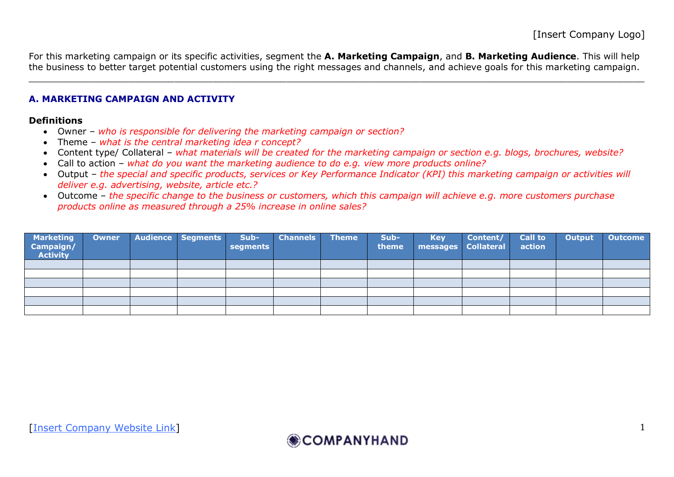For this marketing campaign or its specific activities, segment the **A. Marketing Campaign**, and **B. Marketing Audience**. This will help the business to better target potential customers using the right messages and channels, and achieve goals for this marketing campaign.

 $\_$  , and the set of the set of the set of the set of the set of the set of the set of the set of the set of the set of the set of the set of the set of the set of the set of the set of the set of the set of the set of th

## **A. MARKETING CAMPAIGN AND ACTIVITY**

## **Definitions**

- Owner *who is responsible for delivering the marketing campaign or section?*
- Theme *what is the central marketing idea r concept?*
- Content type/ Collateral *what materials will be created for the marketing campaign or section e.g. blogs, brochures, website?*
- Call to action *what do you want the marketing audience to do e.g. view more products online?*
- Output *the special and specific products, services or Key Performance Indicator (KPI) this marketing campaign or activities will deliver e.g. advertising, website, article etc.?*
- Outcome *the specific change to the business or customers, which this campaign will achieve e.g. more customers purchase products online as measured through a 25% increase in online sales?*

| <b>Marketing</b><br>Campaign/<br><b>Activity</b> | Owner | Audience Segments | Sub-<br>segments | <b>Channels</b> | <b>Theme</b> | Sub-<br>theme | <b>Key</b><br>messages Collateral | Content/ | <b>Call to</b><br>action | Output | <b>Outcome</b> |
|--------------------------------------------------|-------|-------------------|------------------|-----------------|--------------|---------------|-----------------------------------|----------|--------------------------|--------|----------------|
|                                                  |       |                   |                  |                 |              |               |                                   |          |                          |        |                |
|                                                  |       |                   |                  |                 |              |               |                                   |          |                          |        |                |
|                                                  |       |                   |                  |                 |              |               |                                   |          |                          |        |                |
|                                                  |       |                   |                  |                 |              |               |                                   |          |                          |        |                |
|                                                  |       |                   |                  |                 |              |               |                                   |          |                          |        |                |
|                                                  |       |                   |                  |                 |              |               |                                   |          |                          |        |                |